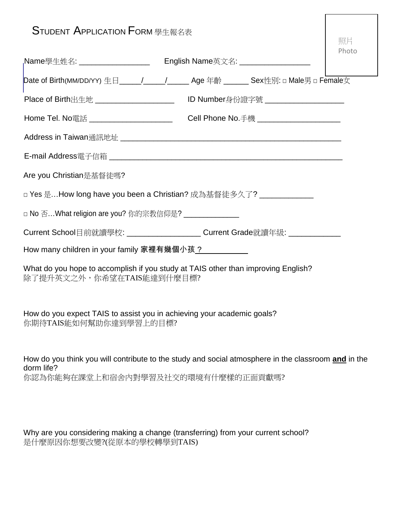| <b>STUDENT APPLICATION FORM 學生報名表</b>                                                                          |                                     | 照片    |
|----------------------------------------------------------------------------------------------------------------|-------------------------------------|-------|
| <sub>I</sub> Name學生姓名: _____________________                                                                   | English Name英文名: __________________ | Photo |
| Date of Birth(MM/DD/YY) 生日_____/_____/_____Age 年齡 _______ Sex性別: □ Male男 □ Female女                             |                                     |       |
| Place of Birth出生地 ______________________  ID Number身份證字號 _______________________                               |                                     |       |
| Home Tel. No電話 _______________________  Cell Phone No.手機 _______________________                               |                                     |       |
|                                                                                                                |                                     |       |
|                                                                                                                |                                     |       |
| Are you Christian是基督徒嗎?                                                                                        |                                     |       |
| □ Yes 是…How long have you been a Christian? 成為基督徒多久了? _____________                                            |                                     |       |
| □ No 否…What religion are you? 你的宗教信仰是? _______________                                                         |                                     |       |
| Current School目前就讀學校: ______________________Current Grade就讀年級: _________________                               |                                     |       |
| How many children in your family 家裡有幾個小孩 <u>?___________</u>                                                   |                                     |       |
| What do you hope to accomplish if you study at TAIS other than improving English?<br>除了提升英文之外,你希望在TAIS能達到什麼目標? |                                     |       |
| How do you expect TAIS to assist you in achieving your academic goals?<br>你期待TAIS能如何幫助你達到學習上的目標?               |                                     |       |

How do you think you will contribute to the study and social atmosphere in the classroom **and** in the dorm life? 你認為你能夠在課堂上和宿舍內對學習及社交的環境有什麼樣的正面貢獻嗎?

Why are you considering making a change (transferring) from your current school? 是什麼原因你想要改變?(從原本的學校轉學到TAIS)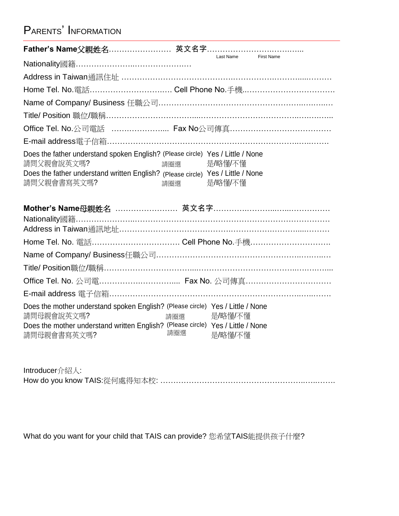## PARENTS' INFORMATION

|                                                                                                                                                                                                |            | Last Name First Name |  |
|------------------------------------------------------------------------------------------------------------------------------------------------------------------------------------------------|------------|----------------------|--|
|                                                                                                                                                                                                |            |                      |  |
|                                                                                                                                                                                                |            |                      |  |
|                                                                                                                                                                                                |            |                      |  |
|                                                                                                                                                                                                |            |                      |  |
|                                                                                                                                                                                                |            |                      |  |
|                                                                                                                                                                                                |            |                      |  |
|                                                                                                                                                                                                |            |                      |  |
| Does the father understand spoken English? (Please circle) Yes / Little / None<br>請問父親會說英文嗎?<br>Does the father understand written English? (Please circle) Yes / Little / None<br>請問父親會書寫英文嗎? | 請圈選<br>請圈選 | 是/略懂/不懂<br>是/略懂/不懂   |  |
| <b>Mother's Name</b> 母親姓名 …………………… 英文名字……………………………………                                                                                                                                          |            |                      |  |
|                                                                                                                                                                                                |            |                      |  |
|                                                                                                                                                                                                |            |                      |  |
|                                                                                                                                                                                                |            |                      |  |
|                                                                                                                                                                                                |            |                      |  |
| Office Tel. No. 公司電 Fax No. 公司傳真                                                                                                                                                               |            |                      |  |
|                                                                                                                                                                                                |            |                      |  |
|                                                                                                                                                                                                |            |                      |  |

| Introducer介紹人: |  |
|----------------|--|
|                |  |

What do you want for your child that TAIS can provide? 您希望TAIS能提供孩子什麼?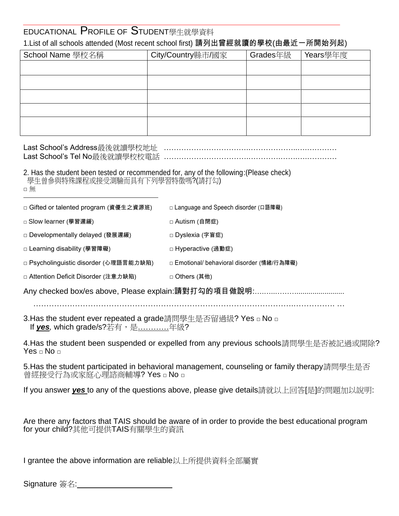## EDUCATIONAL PROFILE OF STUDENT學生就學資料 1.List of all schools attended (Most recent school first) 請列出曾經就讀的學校(由最近一所開始列起)

| School Name 學校名稱 | City/Country縣市/國家 | Grades年級 | Years學年度 |
|------------------|-------------------|----------|----------|
|                  |                   |          |          |
|                  |                   |          |          |
|                  |                   |          |          |
|                  |                   |          |          |
|                  |                   |          |          |

## 2. Has the student been tested or recommended for, any of the following:(Please check) 學生曾參與特殊課程或接受測驗而具有下列學習特徵嗎?(請打勾)

| ×. |
|----|

□ Gifted or talented program (資優生之資源班) □ Language and Speech disorder (口語障礙)

□ Slow learner (學習遲緩) □ Autism (自閉症)

□ Developmentally delayed (發展遲緩) □ Dyslexia (字盲症)

□ Learning disability (學習障礙) □ □ Dearning disability (學習障礙)

□ Psycholinguistic disorder (心理語言能力缺陷) □ Emotional/ behavioral disorder (情緒/行為障礙)

□ Attention Deficit Disorder (注意力缺陷) □ Others (其他)

Any checked box/es above, Please explain:請對打勾的項目做說明:….…..………........................

……………………………………………………………………………………….……………. …

3.Has the student ever repeated a grade請問學生是否留過級? Yes □ No □ If <u>*yes,* which grade/s?若有,是…………</u>年級?

4.Has the student been suspended or expelled from any previous schools請問學生是否被記過或開除? Yes □ No □

5.Has the student participated in behavioral management, counseling or family therapy請問學生是否 曾經接受行為或家庭心理諮商輔導? Yes □ No □

If you answer *yes* to any of the questions above, please give details請就以上回答[是]的問題加以說明:

Are there any factors that TAIS should be aware of in order to provide the best educational program for your child?其他可提供TAIS有關學生的資訊

I grantee the above information are reliable以上所提供資料全部屬實

Signature 簽名: